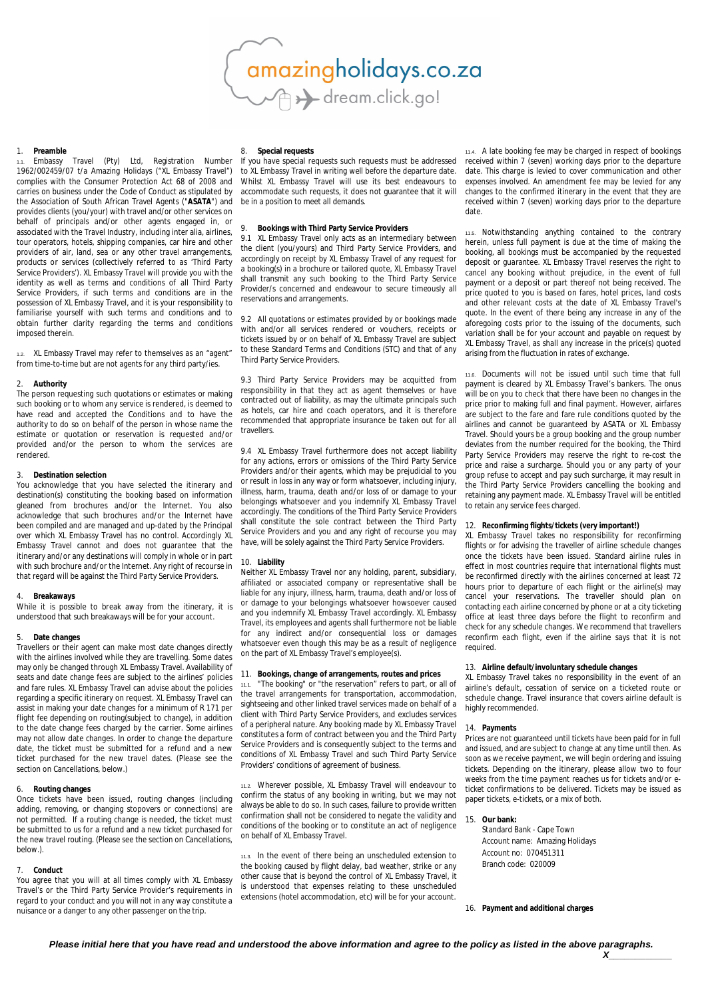amazingholidays.co.za<br>
and a dream.click.go!

#### 1. **Preamble**

Embassy Travel (Pty) Ltd, Registration Number 1962/002459/07 t/a Amazing Holidays ("XL Embassy Travel") complies with the Consumer Protection Act 68 of 2008 and carries on business under the Code of Conduct as stipulated by the Association of South African Travel Agents ("**ASATA**") and provides clients (you/your) with travel and/or other services on behalf of principals and/or other agents engaged in, or associated with the Travel Industry, including inter alia, airlines, tour operators, hotels, shipping companies, car hire and other providers of air, land, sea or any other travel arrangements, products or services (collectively referred to as 'Third Party Service Providers'). XL Embassy Travel will provide you with the identity as well as terms and conditions of all Third Party Service Providers, if such terms and conditions are in the possession of XL Embassy Travel, and it is your responsibility to familiarise yourself with such terms and conditions and to obtain further clarity regarding the terms and conditions imposed therein.

1.2. XL Embassy Travel may refer to themselves as an "agent" from time-to-time but are not agents for any third party/ies.

#### 2. **Authority**

The person requesting such quotations or estimates or making such booking or to whom any service is rendered, is deemed to have read and accepted the Conditions and to have the authority to do so on behalf of the person in whose name the estimate or quotation or reservation is requested and/or provided and/or the person to whom the services are rendered.

## 3. **Destination selection**

You acknowledge that you have selected the itinerary and destination(s) constituting the booking based on information gleaned from brochures and/or the Internet. You also acknowledge that such brochures and/or the Internet have been compiled and are managed and up-dated by the Principal over which XL Embassy Travel has no control. Accordingly XL Embassy Travel cannot and does not guarantee that the itinerary and/or any destinations will comply in whole or in part with such brochure and/or the Internet. Any right of recourse in that regard will be against the Third Party Service Providers.

#### 4. **Breakaways**

While it is possible to break away from the itinerary, it is understood that such breakaways will be for your account.

#### 5. **Date changes**

Travellers or their agent can make most date changes directly with the airlines involved while they are travelling. Some dates may only be changed through XL Embassy Travel. Availability of seats and date change fees are subject to the airlines' policies and fare rules. XL Embassy Travel can advise about the policies regarding a specific itinerary on request. XL Embassy Travel can assist in making your date changes for a minimum of R 171 per flight fee depending on routing(subject to change), in addition to the date change fees charged by the carrier. Some airlines may not allow date changes. In order to change the departure date, the ticket must be submitted for a refund and a new ticket purchased for the new travel dates. (Please see the section on Cancellations, below.)

#### 6. **Routing changes**

Once tickets have been issued, routing changes (including adding, removing, or changing stopovers or connections) are not permitted. If a routing change is needed, the ticket must be submitted to us for a refund and a new ticket purchased for the new travel routing. (Please see the section on Cancellations, below.).

#### 7. **Conduct**

You agree that you will at all times comply with XL Embassy Travel's or the Third Party Service Provider's requirements in regard to your conduct and you will not in any way constitute a nuisance or a danger to any other passenger on the trip.

# 8. **Special requests**

If you have special requests such requests must be addressed to XL Embassy Travel in writing well before the departure date. Whilst XL Embassy Travel will use its best endeavours to accommodate such requests, it does not guarantee that it will be in a position to meet all demands.

## 9. **Bookings with Third Party Service Providers**

9.1 XL Embassy Travel only acts as an intermediary between the client (you/yours) and Third Party Service Providers, and accordingly on receipt by XL Embassy Travel of any request for a booking(s) in a brochure or tailored quote, XL Embassy Travel shall transmit any such booking to the Third Party Service Provider/s concerned and endeavour to secure timeously all reservations and arrangements.

9.2 All quotations or estimates provided by or bookings made with and/or all services rendered or vouchers, receipts or tickets issued by or on behalf of XL Embassy Travel are subject to these Standard Terms and Conditions (STC) and that of any Third Party Service Providers.

9.3 Third Party Service Providers may be acquitted from responsibility in that they act as agent themselves or have contracted out of liability, as may the ultimate principals such as hotels, car hire and coach operators, and it is therefore recommended that appropriate insurance be taken out for all travellers.

9.4 XL Embassy Travel furthermore does not accept liability for any actions, errors or omissions of the Third Party Service Providers and/or their agents, which may be prejudicial to you or result in loss in any way or form whatsoever, including injury, illness, harm, trauma, death and/or loss of or damage to your belongings whatsoever and you indemnify XL Embassy Travel accordingly. The conditions of the Third Party Service Providers shall constitute the sole contract between the Third Party Service Providers and you and any right of recourse you may have, will be solely against the Third Party Service Providers.

# 10. **Liability**

Neither XL Embassy Travel nor any holding, parent, subsidiary, affiliated or associated company or representative shall be liable for any injury, illness, harm, trauma, death and/or loss of or damage to your belongings whatsoever howsoever caused and you indemnify XL Embassy Travel accordingly. XL Embassy Travel, its employees and agents shall furthermore not be liable for any indirect and/or consequential loss or damages whatsoever even though this may be as a result of negligence on the part of XL Embassy Travel's employee(s).

## 11. **Bookings, change of arrangements, routes and prices**

"The booking" or "the reservation" refers to part, or all of the travel arrangements for transportation, accommodation, sightseeing and other linked travel services made on behalf of a client with Third Party Service Providers, and excludes services of a peripheral nature. Any booking made by XL Embassy Travel constitutes a form of contract between you and the Third Party Service Providers and is consequently subject to the terms and conditions of XL Embassy Travel and such Third Party Service Providers' conditions of agreement of business.

11.2. Wherever possible, XL Embassy Travel will endeavour to confirm the status of any booking in writing, but we may not always be able to do so. In such cases, failure to provide written confirmation shall not be considered to negate the validity and conditions of the booking or to constitute an act of negligence on behalf of XL Embassy Travel.

11.3. In the event of there being an unscheduled extension to the booking caused by flight delay, bad weather, strike or any other cause that is beyond the control of XL Embassy Travel, it is understood that expenses relating to these unscheduled extensions (hotel accommodation, etc) will be for your account.

11.4. A late booking fee may be charged in respect of bookings received within 7 (seven) working days prior to the departure date. This charge is levied to cover communication and other expenses involved. An amendment fee may be levied for any changes to the confirmed itinerary in the event that they are received within 7 (seven) working days prior to the departure date.

11.5. Notwithstanding anything contained to the contrary herein, unless full payment is due at the time of making the booking, all bookings must be accompanied by the requested deposit or guarantee. XL Embassy Travel reserves the right to cancel any booking without prejudice, in the event of full payment or a deposit or part thereof not being received. The price quoted to you is based on fares, hotel prices, land costs and other relevant costs at the date of XL Embassy Travel's quote. In the event of there being any increase in any of the aforegoing costs prior to the issuing of the documents, such variation shall be for your account and payable on request by XL Embassy Travel, as shall any increase in the price(s) quoted arising from the fluctuation in rates of exchange.

11.6. Documents will not be issued until such time that full payment is cleared by XL Embassy Travel's bankers. The onus will be on you to check that there have been no changes in the price prior to making full and final payment. However, airfares are subject to the fare and fare rule conditions quoted by the airlines and cannot be guaranteed by ASATA or XL Embassy Travel. Should yours be a group booking and the group number deviates from the number required for the booking, the Third Party Service Providers may reserve the right to re-cost the price and raise a surcharge. Should you or any party of your group refuse to accept and pay such surcharge, it may result in the Third Party Service Providers cancelling the booking and retaining any payment made. XL Embassy Travel will be entitled to retain any service fees charged.

# 12. **Reconfirming flights/tickets (very important!)**

XL Embassy Travel takes no responsibility for reconfirming flights or for advising the traveller of airline schedule changes once the tickets have been issued. Standard airline rules in effect in most countries require that international flights must be reconfirmed directly with the airlines concerned at least 72 hours prior to departure of each flight or the airline(s) may cancel your reservations. The traveller should plan on contacting each airline concerned by phone or at a city ticketing office at least three days before the flight to reconfirm and check for any schedule changes. We recommend that travellers reconfirm each flight, even if the airline says that it is not required.

## 13. **Airline default/involuntary schedule changes**

XL Embassy Travel takes no responsibility in the event of an airline's default, cessation of service on a ticketed route or schedule change. Travel insurance that covers airline default is highly recommended.

#### 14. **Payments**

Prices are not guaranteed until tickets have been paid for in full and issued, and are subject to change at any time until then. As soon as we receive payment, we will begin ordering and issuing tickets. Depending on the itinerary, please allow two to four weeks from the time payment reaches us for tickets and/or eticket confirmations to be delivered. Tickets may be issued as paper tickets, e-tickets, or a mix of both.

15. **Our bank:**

Standard Bank - Cape Town Account name: Amazing Holidays Account no: 070451311 Branch code: 020009

# 16. **Payment and additional charges**

*X\_\_\_\_\_\_\_\_\_\_\_\_*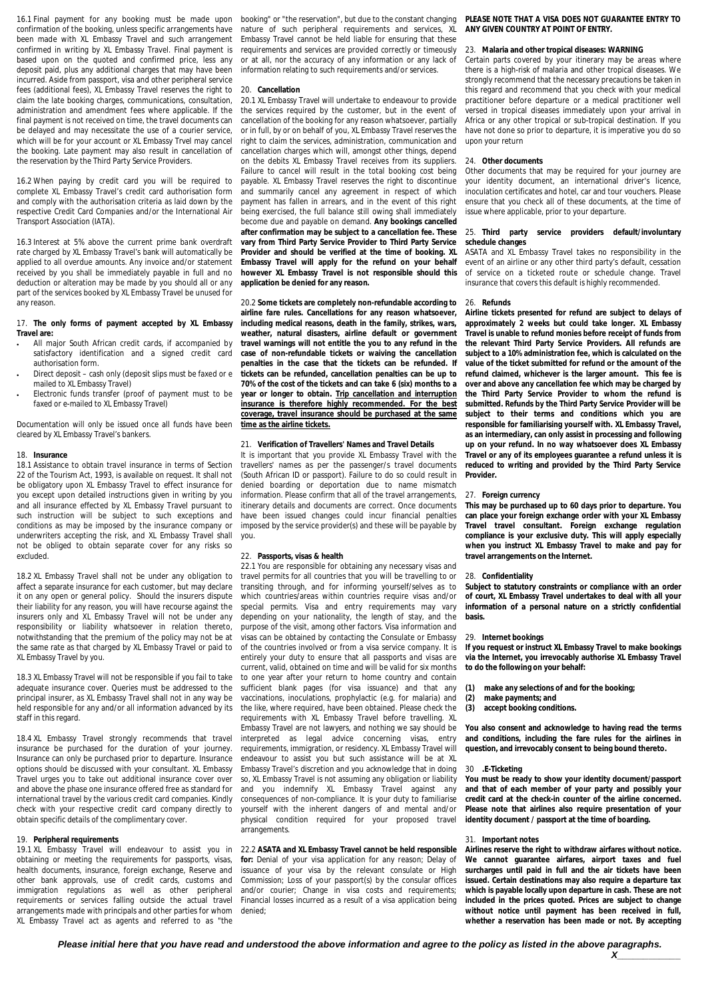16.1 Final payment for any booking must be made upon confirmation of the booking, unless specific arrangements have been made with XL Embassy Travel and such arrangement confirmed in writing by XL Embassy Travel. Final payment is based upon on the quoted and confirmed price, less any deposit paid, plus any additional charges that may have been incurred. Aside from passport, visa and other peripheral service fees (additional fees), XL Embassy Travel reserves the right to claim the late booking charges, communications, consultation, administration and amendment fees where applicable. If the final payment is not received on time, the travel documents can be delayed and may necessitate the use of a courier service, which will be for your account or XL Embassy Tryel may cancel the booking. Late payment may also result in cancellation of the reservation by the Third Party Service Providers.

16.2 When paying by credit card you will be required to complete XL Embassy Travel's credit card authorisation form and comply with the authorisation criteria as laid down by the respective Credit Card Companies and/or the International Air Transport Association (IATA).

16.3 Interest at 5% above the current prime bank overdraft rate charged by XL Embassy Travel's bank will automatically be applied to all overdue amounts. Any invoice and/or statement received by you shall be immediately payable in full and no deduction or alteration may be made by you should all or any part of the services booked by XL Embassy Travel be unused for any reason.

## 17. **The only forms of payment accepted by XL Embassy Travel are:**

- All major South African credit cards, if accompanied by satisfactory identification and a signed credit card authorisation form.
- Direct deposit cash only (deposit slips must be faxed or e mailed to XL Embassy Travel)
- Electronic funds transfer (proof of payment must to be faxed or e-mailed to XL Embassy Travel)

Documentation will only be issued once all funds have been cleared by XL Embassy Travel's bankers.

#### 18. **Insurance**

18.1 Assistance to obtain travel insurance in terms of Section 22 of the Tourism Act, 1993, is available on request. It shall not be obligatory upon XL Embassy Travel to effect insurance for you except upon detailed instructions given in writing by you and all insurance effected by XL Embassy Travel pursuant to such instruction will be subject to such exceptions and conditions as may be imposed by the insurance company or underwriters accepting the risk, and XL Embassy Travel shall not be obliged to obtain separate cover for any risks so excluded.

18.2 XL Embassy Travel shall not be under any obligation to affect a separate insurance for each customer, but may declare it on any open or general policy. Should the insurers dispute their liability for any reason, you will have recourse against the insurers only and XL Embassy Travel will not be under any responsibility or liability whatsoever in relation thereto, notwithstanding that the premium of the policy may not be at the same rate as that charged by XL Embassy Travel or paid to XL Embassy Travel by you.

18.3 XL Embassy Travel will not be responsible if you fail to take adequate insurance cover. Queries must be addressed to the principal insurer, as XL Embassy Travel shall not in any way be held responsible for any and/or all information advanced by its staff in this regard.

18.4 XL Embassy Travel strongly recommends that travel insurance be purchased for the duration of your journey. Insurance can only be purchased prior to departure. Insurance options should be discussed with your consultant. XL Embassy Travel urges you to take out additional insurance cover over and above the phase one insurance offered free as standard for international travel by the various credit card companies. Kindly check with your respective credit card company directly to obtain specific details of the complimentary cover.

#### 19. **Peripheral requirements**

19.1 XL Embassy Travel will endeavour to assist you in obtaining or meeting the requirements for passports, visas, health documents, insurance, foreign exchange, Reserve and other bank approvals, use of credit cards, customs and immigration regulations as well as other peripheral requirements or services falling outside the actual travel arrangements made with principals and other parties for whom XL Embassy Travel act as agents and referred to as "the

booking" or "the reservation", but due to the constant changing nature of such peripheral requirements and services, XL Embassy Travel cannot be held liable for ensuring that these requirements and services are provided correctly or timeously or at all, nor the accuracy of any information or any lack of information relating to such requirements and/or services.

#### 20. **Cancellation**

20.1 XL Embassy Travel will undertake to endeavour to provide the services required by the customer, but in the event of cancellation of the booking for any reason whatsoever, partially or in full, by or on behalf of you, XL Embassy Travel reserves the right to claim the services, administration, communication and cancellation charges which will, amongst other things, depend on the debits XL Embassy Travel receives from its suppliers. Failure to cancel will result in the total booking cost being payable. XL Embassy Travel reserves the right to discontinue and summarily cancel any agreement in respect of which payment has fallen in arrears, and in the event of this right being exercised, the full balance still owing shall immediately become due and payable on demand. **Any bookings cancelled after confirmation may be subject to a cancellation fee. These vary from Third Party Service Provider to Third Party Service Provider and should be verified at the time of booking. XL Embassy Travel will apply for the refund on your behalf however XL Embassy Travel is not responsible should this application be denied for any reason.**

20.2 **Some tickets are completely non-refundable according to airline fare rules. Cancellations for any reason whatsoever, including medical reasons, death in the family, strikes, wars, weather, natural disasters, airline default or government travel warnings will not entitle the you to any refund in the case of non-refundable tickets or waiving the cancellation penalties in the case that the tickets can be refunded. If tickets can be refunded, cancellation penalties can be up to 70% of the cost of the tickets and can take 6 (six) months to a year or longer to obtain. Trip cancellation and interruption insurance is therefore highly recommended. For the best coverage, travel insurance should be purchased at the same time as the airline tickets.**

## 21. **Verification of Travellers' Names and Travel Details**

It is important that you provide XL Embassy Travel with the travellers' names as per the passenger/s travel documents (South African ID or passport). Failure to do so could result in denied boarding or deportation due to name mismatch information. Please confirm that all of the travel arrangements, itinerary details and documents are correct. Once documents have been issued changes could incur financial penalties imposed by the service provider(s) and these will be payable by you.

#### 22. **Passports, visas & health**

22.1 You are responsible for obtaining any necessary visas and travel permits for all countries that you will be travelling to or transiting through, and for informing yourself/selves as to which countries/areas within countries require visas and/or special permits. Visa and entry requirements may vary depending on your nationality, the length of stay, and the purpose of the visit, among other factors. Visa information and visas can be obtained by contacting the Consulate or Embassy of the countries involved or from a visa service company. It is entirely your duty to ensure that all passports and visas are current, valid, obtained on time and will be valid for six months to one year after your return to home country and contain sufficient blank pages (for visa issuance) and that any vaccinations, inoculations, prophylactic (e.g. for malaria) and the like, where required, have been obtained. Please check the requirements with XL Embassy Travel before travelling. XL Embassy Travel are not lawyers, and nothing we say should be interpreted as legal advice concerning visas, entry requirements, immigration, or residency. XL Embassy Travel will endeavour to assist you but such assistance will be at XL Embassy Travel's discretion and you acknowledge that in doing so, XL Embassy Travel is not assuming any obligation or liability and you indemnify XL Embassy Travel against any consequences of non-compliance. It is your duty to familiarise yourself with the inherent dangers of and mental and/or physical condition required for your proposed travel arrangements.

22.2 **ASATA and XL Embassy Travel cannot be held responsible for:** Denial of your visa application for any reason; Delay of issuance of your visa by the relevant consulate or High Commission; Loss of your passport(s) by the consular offices and/or courier; Change in visa costs and requirements; Financial losses incurred as a result of a visa application being denied;

**PLEASE NOTE THAT A VISA DOES NOT GUARANTEE ENTRY TO ANY GIVEN COUNTRY AT POINT OF ENTRY.**

#### 23. **Malaria and other tropical diseases: WARNING**

Certain parts covered by your itinerary may be areas where there is a high-risk of malaria and other tropical diseases. We strongly recommend that the necessary precautions be taken in this regard and recommend that you check with your medical practitioner before departure or a medical practitioner well versed in tropical diseases immediately upon your arrival in Africa or any other tropical or sub-tropical destination. If you have not done so prior to departure, it is imperative you do so upon your return

## 24. **Other documents**

Other documents that may be required for your journey are your identity document, an international driver's licence, inoculation certificates and hotel, car and tour vouchers. Please ensure that you check all of these documents, at the time of issue where applicable, prior to your departure.

## 25. **Third party service providers default/involuntary schedule changes**

ASATA and XL Embassy Travel takes no responsibility in the event of an airline or any other third party's default, cessation of service on a ticketed route or schedule change. Travel insurance that covers this default is highly recommended.

#### 26. **Refunds**

**Airline tickets presented for refund are subject to delays of approximately 2 weeks but could take longer. XL Embassy Travel is unable to refund monies before receipt of funds from the relevant Third Party Service Providers. All refunds are subject to a 10% administration fee, which is calculated on the value of the ticket submitted for refund or the amount of the refund claimed, whichever is the larger amount. This fee is over and above any cancellation fee which may be charged by the Third Party Service Provider to whom the refund is submitted. Refunds by the Third Party Service Provider will be subject to their terms and conditions which you are responsible for familiarising yourself with. XL Embassy Travel, as an intermediary, can only assist in processing and following up on your refund. In no way whatsoever does XL Embassy Travel or any of its employees guarantee a refund unless it is reduced to writing and provided by the Third Party Service Provider.**

#### 27. **Foreign currency**

**This may be purchased up to 60 days prior to departure. You can place your foreign exchange order with your XL Embassy Travel travel consultant. Foreign exchange regulation compliance is your exclusive duty. This will apply especially when you instruct XL Embassy Travel to make and pay for travel arrangements on the Internet.**

# 28. **Confidentiality**

**Subject to statutory constraints or compliance with an order of court, XL Embassy Travel undertakes to deal with all your information of a personal nature on a strictly confidential basis.**

#### 29. **Internet bookings**

**If you request or instruct XL Embassy Travel to make bookings via the Internet, you irrevocably authorise XL Embassy Travel to do the following on your behalf:**

- **(1) make any selections of and for the booking;**
- 
- **(2) make payments; and (3) accept booking conditions.**

**You also consent and acknowledge to having read the terms and conditions, including the fare rules for the airlines in question, and irrevocably consent to being bound thereto.**

#### 30 **.E-Ticketing**

**You must be ready to show your identity document/passport and that of each member of your party and possibly your credit card at the check-in counter of the airline concerned. Please note that airlines also require presentation of your identity document / passport at the time of boarding.**

## 31. **Important notes**

**Airlines reserve the right to withdraw airfares without notice. We cannot guarantee airfares, airport taxes and fuel surcharges until paid in full and the air tickets have been issued. Certain destinations may also require a departure tax which is payable locally upon departure in cash. These are not included in the prices quoted. Prices are subject to change without notice until payment has been received in full, whether a reservation has been made or not. By accepting** 

*Please initial here that you have read and understood the above information and agree to the policy as listed in the above paragraphs.* 

*X\_\_\_\_\_\_\_\_\_\_\_\_*